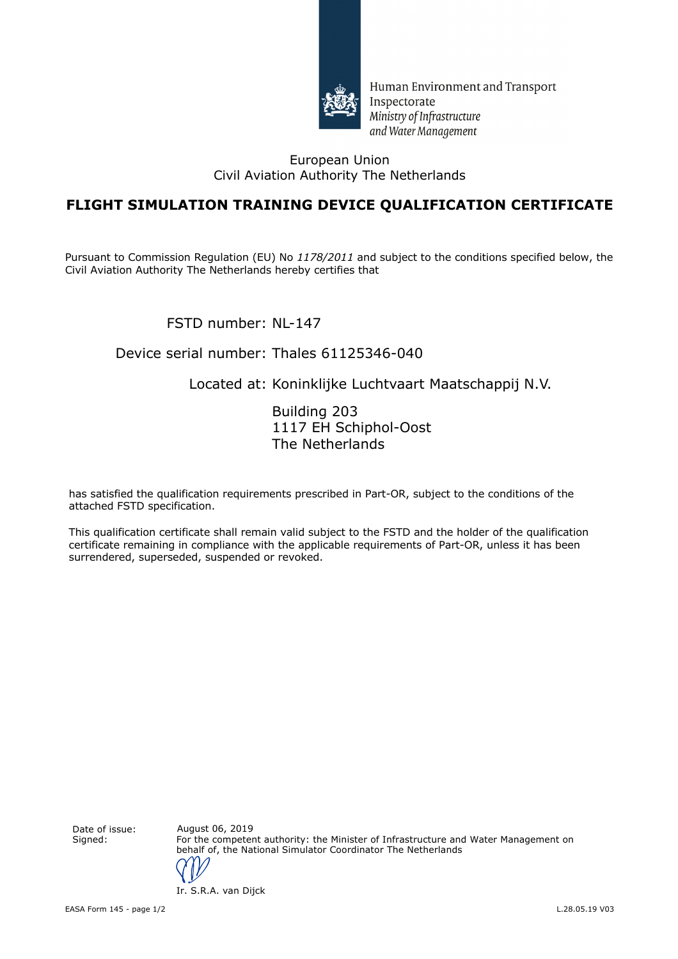

Human Environment and Transport Inspectorate Ministry of Infrastructure and Water Management

#### European Union Civil Aviation Authority The Netherlands

## **FLIGHT SIMULATION TRAINING DEVICE QUALIFICATION CERTIFICATE**

Pursuant to Commission Regulation (EU) No *1178/2011* and subject to the conditions specified below, the Civil Aviation Authority The Netherlands hereby certifies that

FSTD number: NL-147

#### Device serial number: Thales 61125346-040

## Located at: Koninklijke Luchtvaart Maatschappij N.V.

Building 203 1117 EH Schiphol-Oost The Netherlands

has satisfied the qualification requirements prescribed in Part-OR, subject to the conditions of the attached FSTD specification.

This qualification certificate shall remain valid subject to the FSTD and the holder of the qualification certificate remaining in compliance with the applicable requirements of Part-OR, unless it has been surrendered, superseded, suspended or revoked.

Date of issue: August 06, 2019

Signed: For the competent authority: the Minister of Infrastructure and Water Management on behalf of, the National Simulator Coordinator The Netherlands

Ir. S.R.A. van Dijck